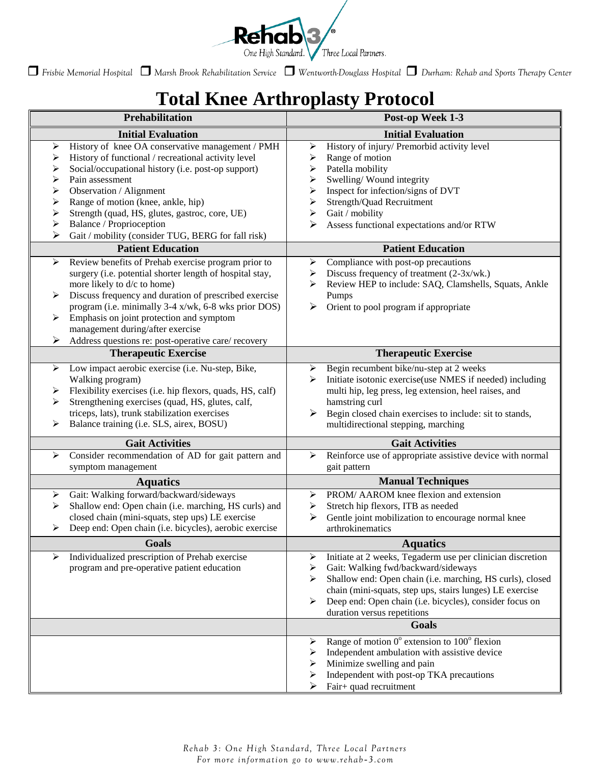

*Frisbie Memorial Hospital Marsh Brook Rehabilitation Service Wentworth-Douglass Hospital Durham: Rehab and Sports Therapy Center*

## **Total Knee Arthroplasty Protocol**

| <b>Prehabilitation</b>                                                                                                                                                                                                                                                                                                                                                                                                                                         | Post-op Week 1-3                                                                                                                                                                                                                                                                                                                                  |
|----------------------------------------------------------------------------------------------------------------------------------------------------------------------------------------------------------------------------------------------------------------------------------------------------------------------------------------------------------------------------------------------------------------------------------------------------------------|---------------------------------------------------------------------------------------------------------------------------------------------------------------------------------------------------------------------------------------------------------------------------------------------------------------------------------------------------|
| <b>Initial Evaluation</b>                                                                                                                                                                                                                                                                                                                                                                                                                                      | <b>Initial Evaluation</b>                                                                                                                                                                                                                                                                                                                         |
| History of knee OA conservative management / PMH<br>➤<br>History of functional / recreational activity level<br>➤<br>Social/occupational history (i.e. post-op support)<br>➤<br>Pain assessment<br>➤<br>Observation / Alignment<br>➤<br>Range of motion (knee, ankle, hip)<br>➤<br>Strength (quad, HS, glutes, gastroc, core, UE)<br>➤<br>Balance / Proprioception<br>➤<br>➤<br>Gait / mobility (consider TUG, BERG for fall risk)<br><b>Patient Education</b> | History of injury/ Premorbid activity level<br>➤<br>Range of motion<br>➤<br>Patella mobility<br>➤<br>Swelling/Wound integrity<br>➤<br>Inspect for infection/signs of DVT<br>➤<br>Strength/Quad Recruitment<br>➤<br>Gait / mobility<br>➤<br>Assess functional expectations and/or RTW<br>➤<br><b>Patient Education</b>                             |
| Review benefits of Prehab exercise program prior to<br>$\blacktriangleright$<br>surgery (i.e. potential shorter length of hospital stay,<br>more likely to d/c to home)<br>Discuss frequency and duration of prescribed exercise<br>➤<br>program (i.e. minimally 3-4 x/wk, 6-8 wks prior DOS)<br>Emphasis on joint protection and symptom<br>➤<br>management during/after exercise<br>Address questions re: post-operative care/ recovery<br>➤                 | Compliance with post-op precautions<br>➤<br>Discuss frequency of treatment (2-3x/wk.)<br>➤<br>Review HEP to include: SAQ, Clamshells, Squats, Ankle<br>➤<br>Pumps<br>➤<br>Orient to pool program if appropriate                                                                                                                                   |
| <b>Therapeutic Exercise</b>                                                                                                                                                                                                                                                                                                                                                                                                                                    | <b>Therapeutic Exercise</b>                                                                                                                                                                                                                                                                                                                       |
| Low impact aerobic exercise (i.e. Nu-step, Bike,<br>$\blacktriangleright$<br>Walking program)<br>Flexibility exercises (i.e. hip flexors, quads, HS, calf)<br>➤<br>Strengthening exercises (quad, HS, glutes, calf,<br>≻<br>triceps, lats), trunk stabilization exercises<br>Balance training (i.e. SLS, airex, BOSU)<br>➤                                                                                                                                     | Begin recumbent bike/nu-step at 2 weeks<br>➤<br>Initiate isotonic exercise(use NMES if needed) including<br>⋗<br>multi hip, leg press, leg extension, heel raises, and<br>hamstring curl<br>➤<br>Begin closed chain exercises to include: sit to stands,<br>multidirectional stepping, marching                                                   |
| <b>Gait Activities</b>                                                                                                                                                                                                                                                                                                                                                                                                                                         | <b>Gait Activities</b>                                                                                                                                                                                                                                                                                                                            |
| Consider recommendation of AD for gait pattern and<br>$\blacktriangleright$<br>symptom management                                                                                                                                                                                                                                                                                                                                                              | Reinforce use of appropriate assistive device with normal<br>$\blacktriangleright$<br>gait pattern                                                                                                                                                                                                                                                |
| <b>Aquatics</b>                                                                                                                                                                                                                                                                                                                                                                                                                                                | <b>Manual Techniques</b>                                                                                                                                                                                                                                                                                                                          |
| Gait: Walking forward/backward/sideways<br>➤<br>Shallow end: Open chain (i.e. marching, HS curls) and<br>➤<br>closed chain (mini-squats, step ups) LE exercise<br>Deep end: Open chain (i.e. bicycles), aerobic exercise<br>➤                                                                                                                                                                                                                                  | PROM/ AAROM knee flexion and extension<br>➤<br>Stretch hip flexors, ITB as needed<br>➤<br>Gentle joint mobilization to encourage normal knee<br>➤<br>arthrokinematics                                                                                                                                                                             |
| <b>Goals</b>                                                                                                                                                                                                                                                                                                                                                                                                                                                   | <b>Aquatics</b>                                                                                                                                                                                                                                                                                                                                   |
| Individualized prescription of Prehab exercise<br>≻<br>program and pre-operative patient education                                                                                                                                                                                                                                                                                                                                                             | Initiate at 2 weeks, Tegaderm use per clinician discretion<br>➤<br>Gait: Walking fwd/backward/sideways<br>➤<br>Shallow end: Open chain (i.e. marching, HS curls), closed<br>⋗<br>chain (mini-squats, step ups, stairs lunges) LE exercise<br>Deep end: Open chain (i.e. bicycles), consider focus on<br>➤<br>duration versus repetitions<br>Goals |
|                                                                                                                                                                                                                                                                                                                                                                                                                                                                | Range of motion $0^{\circ}$ extension to $100^{\circ}$ flexion<br>➤                                                                                                                                                                                                                                                                               |
|                                                                                                                                                                                                                                                                                                                                                                                                                                                                | Independent ambulation with assistive device<br>➤<br>Minimize swelling and pain<br>➤<br>Independent with post-op TKA precautions<br>➤<br>Fair+ quad recruitment                                                                                                                                                                                   |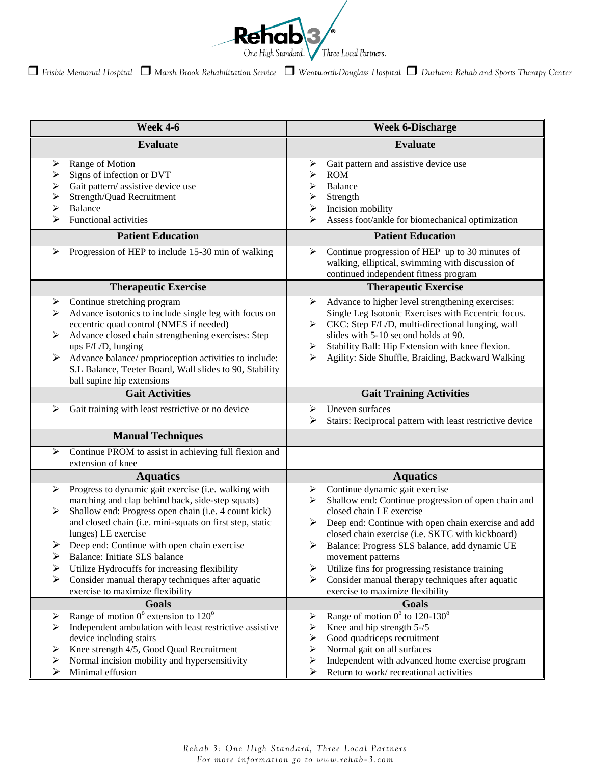

*Frisbie Memorial Hospital Marsh Brook Rehabilitation Service Wentworth-Douglass Hospital Durham: Rehab and Sports Therapy Center*

| <b>Evaluate</b><br><b>Evaluate</b><br>Range of Motion<br>Gait pattern and assistive device use<br>➤<br>➤<br>Signs of infection or DVT<br><b>ROM</b><br>➤<br>➤<br>Gait pattern/assistive device use<br><b>Balance</b><br>≻<br>⋗<br>Strength/Quad Recruitment<br>Strength<br>➤<br>⋗<br>➤<br>Balance<br>$\blacktriangleright$<br>Incision mobility<br>➤<br><b>Functional activities</b><br>Assess foot/ankle for biomechanical optimization<br>≻<br><b>Patient Education</b><br><b>Patient Education</b><br>Progression of HEP to include 15-30 min of walking<br>Continue progression of HEP up to 30 minutes of<br>➤<br>➤<br>walking, elliptical, swimming with discussion of<br>continued independent fitness program<br><b>Therapeutic Exercise</b><br><b>Therapeutic Exercise</b><br>Continue stretching program<br>Advance to higher level strengthening exercises:<br>➤<br>➤<br>Advance isotonics to include single leg with focus on<br>Single Leg Isotonic Exercises with Eccentric focus.<br>➤<br>eccentric quad control (NMES if needed)<br>CKC: Step F/L/D, multi-directional lunging, wall<br>Advance closed chain strengthening exercises: Step<br>slides with 5-10 second holds at 90.<br>➤<br>ups F/L/D, lunging<br>Stability Ball: Hip Extension with knee flexion.<br>➤<br>Agility: Side Shuffle, Braiding, Backward Walking<br>Advance balance/ proprioception activities to include:<br>S.L Balance, Teeter Board, Wall slides to 90, Stability<br>ball supine hip extensions<br><b>Gait Activities</b><br><b>Gait Training Activities</b><br>Gait training with least restrictive or no device<br>Uneven surfaces<br>⋗<br>➤<br>Stairs: Reciprocal pattern with least restrictive device<br>➤<br><b>Manual Techniques</b><br>Continue PROM to assist in achieving full flexion and<br>➤<br>extension of knee<br><b>Aquatics</b><br><b>Aquatics</b><br>Continue dynamic gait exercise<br>Progress to dynamic gait exercise (i.e. walking with<br>➤<br>➤<br>marching and clap behind back, side-step squats)<br>Shallow end: Continue progression of open chain and<br>⋗<br>Shallow end: Progress open chain (i.e. 4 count kick)<br>closed chain LE exercise<br>➤<br>and closed chain (i.e. mini-squats on first step, static<br>Deep end: Continue with open chain exercise and add<br>➤<br>lunges) LE exercise<br>closed chain exercise (i.e. SKTC with kickboard)<br>Deep end: Continue with open chain exercise<br>≻<br>> Balance: Progress SLS balance, add dynamic UE<br>≻<br>Balance: Initiate SLS balance<br>movement patterns<br>Utilize fins for progressing resistance training<br>Utilize Hydrocuffs for increasing flexibility<br>⋗<br>➤<br>Consider manual therapy techniques after aquatic<br>Consider manual therapy techniques after aquatic<br>➤<br>exercise to maximize flexibility<br>exercise to maximize flexibility<br>Goals<br>Goals<br>Range of motion $0^{\circ}$ extension to $120^{\circ}$<br>Range of motion $0^{\circ}$ to 120-130°<br>➤<br>➤<br>Independent ambulation with least restrictive assistive<br>Knee and hip strength 5-/5<br>⋗<br>⋗<br>Good quadriceps recruitment<br>device including stairs<br>⋗<br>Knee strength 4/5, Good Quad Recruitment<br>Normal gait on all surfaces<br>➤<br>➤<br>Normal incision mobility and hypersensitivity<br>Independent with advanced home exercise program<br>⋗<br>➤ | <b>Week 4-6</b>       | <b>Week 6-Discharge</b>                     |
|-----------------------------------------------------------------------------------------------------------------------------------------------------------------------------------------------------------------------------------------------------------------------------------------------------------------------------------------------------------------------------------------------------------------------------------------------------------------------------------------------------------------------------------------------------------------------------------------------------------------------------------------------------------------------------------------------------------------------------------------------------------------------------------------------------------------------------------------------------------------------------------------------------------------------------------------------------------------------------------------------------------------------------------------------------------------------------------------------------------------------------------------------------------------------------------------------------------------------------------------------------------------------------------------------------------------------------------------------------------------------------------------------------------------------------------------------------------------------------------------------------------------------------------------------------------------------------------------------------------------------------------------------------------------------------------------------------------------------------------------------------------------------------------------------------------------------------------------------------------------------------------------------------------------------------------------------------------------------------------------------------------------------------------------------------------------------------------------------------------------------------------------------------------------------------------------------------------------------------------------------------------------------------------------------------------------------------------------------------------------------------------------------------------------------------------------------------------------------------------------------------------------------------------------------------------------------------------------------------------------------------------------------------------------------------------------------------------------------------------------------------------------------------------------------------------------------------------------------------------------------------------------------------------------------------------------------------------------------------------------------------------------------------------------------------------------------------------------------------------------------------------------------------------------------------------------------------------------------------------------------------------------------------------------------------------------------------------------------------------------|-----------------------|---------------------------------------------|
|                                                                                                                                                                                                                                                                                                                                                                                                                                                                                                                                                                                                                                                                                                                                                                                                                                                                                                                                                                                                                                                                                                                                                                                                                                                                                                                                                                                                                                                                                                                                                                                                                                                                                                                                                                                                                                                                                                                                                                                                                                                                                                                                                                                                                                                                                                                                                                                                                                                                                                                                                                                                                                                                                                                                                                                                                                                                                                                                                                                                                                                                                                                                                                                                                                                                                                                                                                 |                       |                                             |
|                                                                                                                                                                                                                                                                                                                                                                                                                                                                                                                                                                                                                                                                                                                                                                                                                                                                                                                                                                                                                                                                                                                                                                                                                                                                                                                                                                                                                                                                                                                                                                                                                                                                                                                                                                                                                                                                                                                                                                                                                                                                                                                                                                                                                                                                                                                                                                                                                                                                                                                                                                                                                                                                                                                                                                                                                                                                                                                                                                                                                                                                                                                                                                                                                                                                                                                                                                 |                       |                                             |
|                                                                                                                                                                                                                                                                                                                                                                                                                                                                                                                                                                                                                                                                                                                                                                                                                                                                                                                                                                                                                                                                                                                                                                                                                                                                                                                                                                                                                                                                                                                                                                                                                                                                                                                                                                                                                                                                                                                                                                                                                                                                                                                                                                                                                                                                                                                                                                                                                                                                                                                                                                                                                                                                                                                                                                                                                                                                                                                                                                                                                                                                                                                                                                                                                                                                                                                                                                 |                       |                                             |
|                                                                                                                                                                                                                                                                                                                                                                                                                                                                                                                                                                                                                                                                                                                                                                                                                                                                                                                                                                                                                                                                                                                                                                                                                                                                                                                                                                                                                                                                                                                                                                                                                                                                                                                                                                                                                                                                                                                                                                                                                                                                                                                                                                                                                                                                                                                                                                                                                                                                                                                                                                                                                                                                                                                                                                                                                                                                                                                                                                                                                                                                                                                                                                                                                                                                                                                                                                 |                       |                                             |
|                                                                                                                                                                                                                                                                                                                                                                                                                                                                                                                                                                                                                                                                                                                                                                                                                                                                                                                                                                                                                                                                                                                                                                                                                                                                                                                                                                                                                                                                                                                                                                                                                                                                                                                                                                                                                                                                                                                                                                                                                                                                                                                                                                                                                                                                                                                                                                                                                                                                                                                                                                                                                                                                                                                                                                                                                                                                                                                                                                                                                                                                                                                                                                                                                                                                                                                                                                 |                       |                                             |
|                                                                                                                                                                                                                                                                                                                                                                                                                                                                                                                                                                                                                                                                                                                                                                                                                                                                                                                                                                                                                                                                                                                                                                                                                                                                                                                                                                                                                                                                                                                                                                                                                                                                                                                                                                                                                                                                                                                                                                                                                                                                                                                                                                                                                                                                                                                                                                                                                                                                                                                                                                                                                                                                                                                                                                                                                                                                                                                                                                                                                                                                                                                                                                                                                                                                                                                                                                 |                       |                                             |
|                                                                                                                                                                                                                                                                                                                                                                                                                                                                                                                                                                                                                                                                                                                                                                                                                                                                                                                                                                                                                                                                                                                                                                                                                                                                                                                                                                                                                                                                                                                                                                                                                                                                                                                                                                                                                                                                                                                                                                                                                                                                                                                                                                                                                                                                                                                                                                                                                                                                                                                                                                                                                                                                                                                                                                                                                                                                                                                                                                                                                                                                                                                                                                                                                                                                                                                                                                 |                       |                                             |
|                                                                                                                                                                                                                                                                                                                                                                                                                                                                                                                                                                                                                                                                                                                                                                                                                                                                                                                                                                                                                                                                                                                                                                                                                                                                                                                                                                                                                                                                                                                                                                                                                                                                                                                                                                                                                                                                                                                                                                                                                                                                                                                                                                                                                                                                                                                                                                                                                                                                                                                                                                                                                                                                                                                                                                                                                                                                                                                                                                                                                                                                                                                                                                                                                                                                                                                                                                 |                       |                                             |
|                                                                                                                                                                                                                                                                                                                                                                                                                                                                                                                                                                                                                                                                                                                                                                                                                                                                                                                                                                                                                                                                                                                                                                                                                                                                                                                                                                                                                                                                                                                                                                                                                                                                                                                                                                                                                                                                                                                                                                                                                                                                                                                                                                                                                                                                                                                                                                                                                                                                                                                                                                                                                                                                                                                                                                                                                                                                                                                                                                                                                                                                                                                                                                                                                                                                                                                                                                 |                       |                                             |
|                                                                                                                                                                                                                                                                                                                                                                                                                                                                                                                                                                                                                                                                                                                                                                                                                                                                                                                                                                                                                                                                                                                                                                                                                                                                                                                                                                                                                                                                                                                                                                                                                                                                                                                                                                                                                                                                                                                                                                                                                                                                                                                                                                                                                                                                                                                                                                                                                                                                                                                                                                                                                                                                                                                                                                                                                                                                                                                                                                                                                                                                                                                                                                                                                                                                                                                                                                 |                       |                                             |
|                                                                                                                                                                                                                                                                                                                                                                                                                                                                                                                                                                                                                                                                                                                                                                                                                                                                                                                                                                                                                                                                                                                                                                                                                                                                                                                                                                                                                                                                                                                                                                                                                                                                                                                                                                                                                                                                                                                                                                                                                                                                                                                                                                                                                                                                                                                                                                                                                                                                                                                                                                                                                                                                                                                                                                                                                                                                                                                                                                                                                                                                                                                                                                                                                                                                                                                                                                 |                       |                                             |
|                                                                                                                                                                                                                                                                                                                                                                                                                                                                                                                                                                                                                                                                                                                                                                                                                                                                                                                                                                                                                                                                                                                                                                                                                                                                                                                                                                                                                                                                                                                                                                                                                                                                                                                                                                                                                                                                                                                                                                                                                                                                                                                                                                                                                                                                                                                                                                                                                                                                                                                                                                                                                                                                                                                                                                                                                                                                                                                                                                                                                                                                                                                                                                                                                                                                                                                                                                 |                       |                                             |
|                                                                                                                                                                                                                                                                                                                                                                                                                                                                                                                                                                                                                                                                                                                                                                                                                                                                                                                                                                                                                                                                                                                                                                                                                                                                                                                                                                                                                                                                                                                                                                                                                                                                                                                                                                                                                                                                                                                                                                                                                                                                                                                                                                                                                                                                                                                                                                                                                                                                                                                                                                                                                                                                                                                                                                                                                                                                                                                                                                                                                                                                                                                                                                                                                                                                                                                                                                 |                       |                                             |
|                                                                                                                                                                                                                                                                                                                                                                                                                                                                                                                                                                                                                                                                                                                                                                                                                                                                                                                                                                                                                                                                                                                                                                                                                                                                                                                                                                                                                                                                                                                                                                                                                                                                                                                                                                                                                                                                                                                                                                                                                                                                                                                                                                                                                                                                                                                                                                                                                                                                                                                                                                                                                                                                                                                                                                                                                                                                                                                                                                                                                                                                                                                                                                                                                                                                                                                                                                 | Minimal effusion<br>➤ | Return to work/recreational activities<br>➤ |